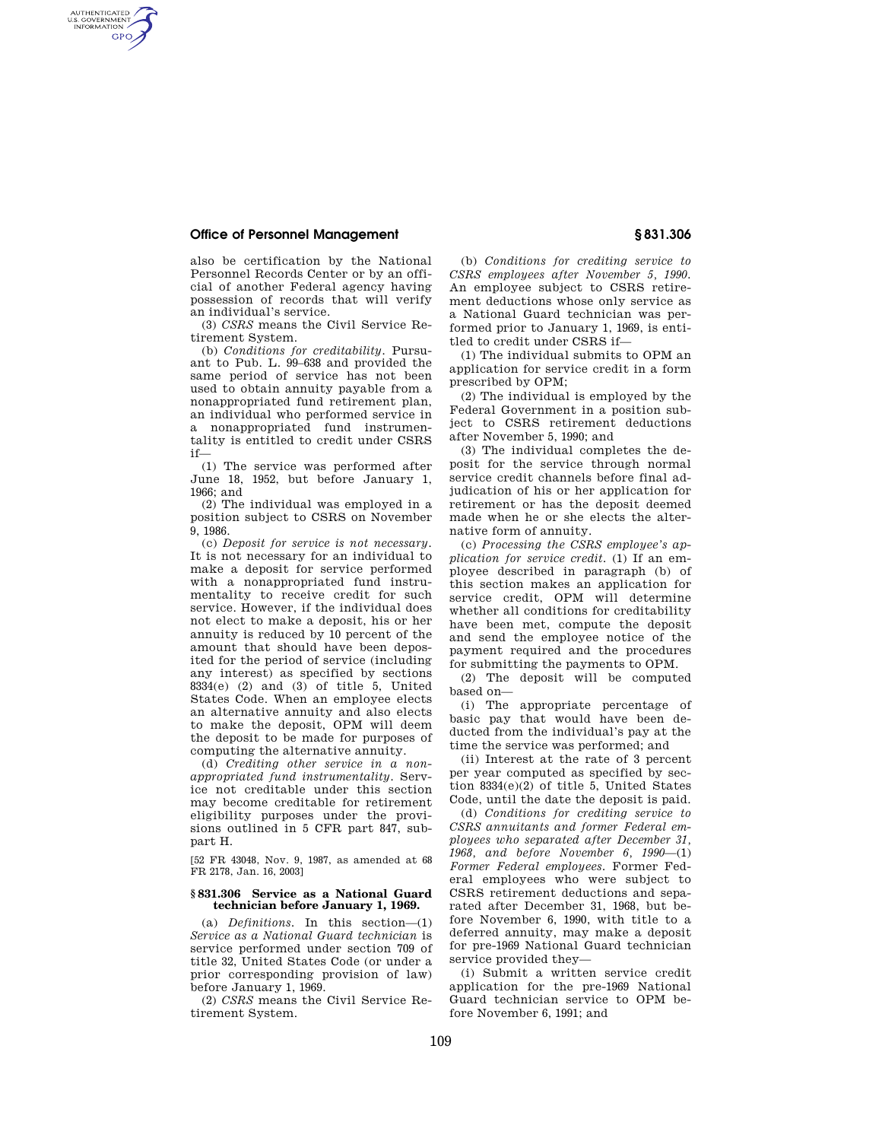# **Office of Personnel Management § 831.306**

AUTHENTICATED<br>U.S. GOVERNMENT<br>INFORMATION **GPO** 

> also be certification by the National Personnel Records Center or by an official of another Federal agency having possession of records that will verify an individual's service.

> (3) *CSRS* means the Civil Service Retirement System.

> (b) *Conditions for creditability.* Pursuant to Pub. L. 99–638 and provided the same period of service has not been used to obtain annuity payable from a nonappropriated fund retirement plan, an individual who performed service in a nonappropriated fund instrumentality is entitled to credit under CSRS if—

> (1) The service was performed after June 18, 1952, but before January 1, 1966; and

> (2) The individual was employed in a position subject to CSRS on November 9, 1986.

(c) *Deposit for service is not necessary.*  It is not necessary for an individual to make a deposit for service performed with a nonappropriated fund instrumentality to receive credit for such service. However, if the individual does not elect to make a deposit, his or her annuity is reduced by 10 percent of the amount that should have been deposited for the period of service (including any interest) as specified by sections 8334(e) (2) and (3) of title 5, United States Code. When an employee elects an alternative annuity and also elects to make the deposit, OPM will deem the deposit to be made for purposes of computing the alternative annuity.

(d) *Crediting other service in a nonappropriated fund instrumentality.* Service not creditable under this section may become creditable for retirement eligibility purposes under the provisions outlined in 5 CFR part 847, subpart H.

[52 FR 43048, Nov. 9, 1987, as amended at 68 FR 2178, Jan. 16, 2003]

# **§ 831.306 Service as a National Guard technician before January 1, 1969.**

(a) *Definitions.* In this section—(1) *Service as a National Guard technician* is service performed under section 709 of title 32, United States Code (or under a prior corresponding provision of law) before January 1, 1969.

(2) *CSRS* means the Civil Service Retirement System.

(b) *Conditions for crediting service to CSRS employees after November 5, 1990.*  An employee subject to CSRS retirement deductions whose only service as a National Guard technician was performed prior to January 1, 1969, is entitled to credit under CSRS if—

(1) The individual submits to OPM an application for service credit in a form prescribed by OPM;

(2) The individual is employed by the Federal Government in a position subject to CSRS retirement deductions after November 5, 1990; and

(3) The individual completes the deposit for the service through normal service credit channels before final adjudication of his or her application for retirement or has the deposit deemed made when he or she elects the alternative form of annuity.

(c) *Processing the CSRS employee's application for service credit.* (1) If an employee described in paragraph (b) of this section makes an application for service credit, OPM will determine whether all conditions for creditability have been met, compute the deposit and send the employee notice of the payment required and the procedures for submitting the payments to OPM.

(2) The deposit will be computed based on—

(i) The appropriate percentage of basic pay that would have been deducted from the individual's pay at the time the service was performed; and

(ii) Interest at the rate of 3 percent per year computed as specified by section 8334(e)(2) of title 5, United States Code, until the date the deposit is paid.

(d) *Conditions for crediting service to CSRS annuitants and former Federal employees who separated after December 31, 1968, and before November 6, 1990*—(1) *Former Federal employees.* Former Federal employees who were subject to CSRS retirement deductions and separated after December 31, 1968, but before November 6, 1990, with title to a deferred annuity, may make a deposit for pre-1969 National Guard technician service provided they—

(i) Submit a written service credit application for the pre-1969 National Guard technician service to OPM before November 6, 1991; and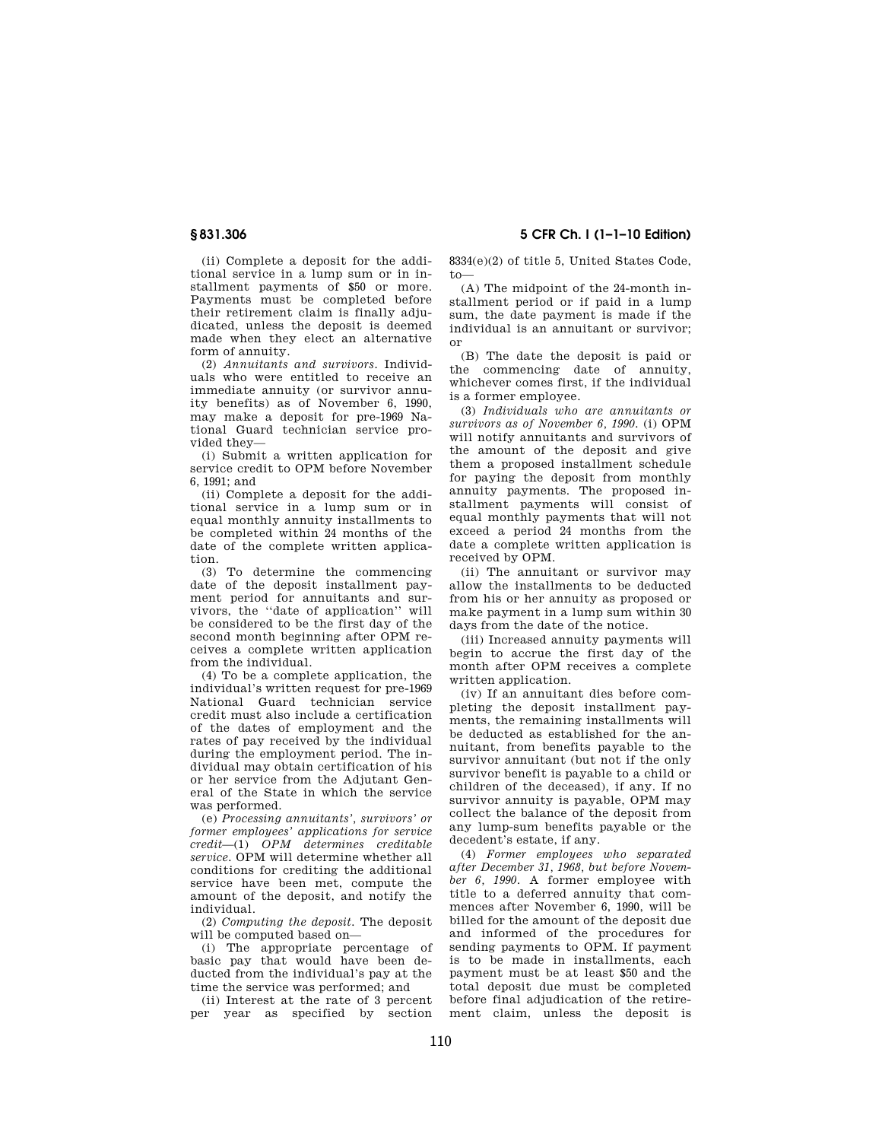**§ 831.306 5 CFR Ch. I (1–1–10 Edition)** 

(ii) Complete a deposit for the additional service in a lump sum or in installment payments of \$50 or more. Payments must be completed before their retirement claim is finally adjudicated, unless the deposit is deemed made when they elect an alternative form of annuity.

(2) *Annuitants and survivors.* Individuals who were entitled to receive an immediate annuity (or survivor annuity benefits) as of November 6, 1990, may make a deposit for pre-1969 National Guard technician service provided they—

(i) Submit a written application for service credit to OPM before November 6, 1991; and

(ii) Complete a deposit for the additional service in a lump sum or in equal monthly annuity installments to be completed within 24 months of the date of the complete written application.

(3) To determine the commencing date of the deposit installment payment period for annuitants and survivors, the ''date of application'' will be considered to be the first day of the second month beginning after OPM receives a complete written application from the individual.

(4) To be a complete application, the individual's written request for pre-1969 National Guard technician service credit must also include a certification of the dates of employment and the rates of pay received by the individual during the employment period. The individual may obtain certification of his or her service from the Adjutant General of the State in which the service was performed.

(e) *Processing annuitants', survivors' or former employees' applications for service credit*—(1) *OPM determines creditable service.* OPM will determine whether all conditions for crediting the additional service have been met, compute the amount of the deposit, and notify the individual.

(2) *Computing the deposit.* The deposit will be computed based on—

(i) The appropriate percentage of basic pay that would have been deducted from the individual's pay at the time the service was performed; and

(ii) Interest at the rate of 3 percent per year as specified by section 8334(e)(2) of title 5, United States Code, to—

(A) The midpoint of the 24-month installment period or if paid in a lump sum, the date payment is made if the individual is an annuitant or survivor; or

(B) The date the deposit is paid or the commencing date of annuity, whichever comes first, if the individual is a former employee.

(3) *Individuals who are annuitants or survivors as of November 6, 1990.* (i) OPM will notify annuitants and survivors of the amount of the deposit and give them a proposed installment schedule for paying the deposit from monthly annuity payments. The proposed installment payments will consist of equal monthly payments that will not exceed a period 24 months from the date a complete written application is received by OPM.

(ii) The annuitant or survivor may allow the installments to be deducted from his or her annuity as proposed or make payment in a lump sum within 30 days from the date of the notice.

(iii) Increased annuity payments will begin to accrue the first day of the month after OPM receives a complete written application.

(iv) If an annuitant dies before completing the deposit installment payments, the remaining installments will be deducted as established for the annuitant, from benefits payable to the survivor annuitant (but not if the only survivor benefit is payable to a child or children of the deceased), if any. If no survivor annuity is payable, OPM may collect the balance of the deposit from any lump-sum benefits payable or the decedent's estate, if any.

(4) *Former employees who separated after December 31, 1968, but before November 6, 1990.* A former employee with title to a deferred annuity that commences after November 6, 1990, will be billed for the amount of the deposit due and informed of the procedures for sending payments to OPM. If payment is to be made in installments, each payment must be at least \$50 and the total deposit due must be completed before final adjudication of the retirement claim, unless the deposit is